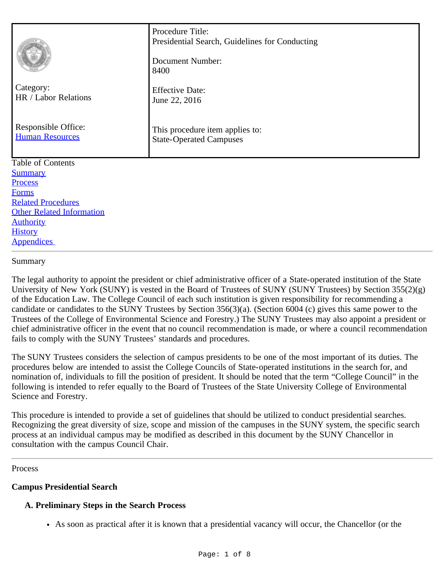|                                                               | Procedure Title:<br>Presidential Search, Guidelines for Conducting<br>Document Number:<br>8400 |
|---------------------------------------------------------------|------------------------------------------------------------------------------------------------|
| Category:<br>HR / Labor Relations                             | <b>Effective Date:</b><br>June 22, 2016                                                        |
| Responsible Office:<br><b>Human Resources</b>                 | This procedure item applies to:<br><b>State-Operated Campuses</b>                              |
| Table of Contents                                             |                                                                                                |
| <b>Summary</b>                                                |                                                                                                |
| Process                                                       |                                                                                                |
| <b>Forms</b>                                                  |                                                                                                |
| <b>Related Procedures</b><br><b>Other Related Information</b> |                                                                                                |
| <b>Authority</b>                                              |                                                                                                |
| <b>History</b>                                                |                                                                                                |
| <b>Appendices</b>                                             |                                                                                                |

#### <span id="page-0-0"></span>Summary

The legal authority to appoint the president or chief administrative officer of a State-operated institution of the State University of New York (SUNY) is vested in the Board of Trustees of SUNY (SUNY Trustees) by Section 355(2)(g) of the Education Law. The College Council of each such institution is given responsibility for recommending a candidate or candidates to the SUNY Trustees by Section 356(3)(a). (Section 6004 (c) gives this same power to the Trustees of the College of Environmental Science and Forestry.) The SUNY Trustees may also appoint a president or chief administrative officer in the event that no council recommendation is made, or where a council recommendation fails to comply with the SUNY Trustees' standards and procedures.

The SUNY Trustees considers the selection of campus presidents to be one of the most important of its duties. The procedures below are intended to assist the College Councils of State-operated institutions in the search for, and nomination of, individuals to fill the position of president. It should be noted that the term "College Council" in the following is intended to refer equally to the Board of Trustees of the State University College of Environmental Science and Forestry.

This procedure is intended to provide a set of guidelines that should be utilized to conduct presidential searches. Recognizing the great diversity of size, scope and mission of the campuses in the SUNY system, the specific search process at an individual campus may be modified as described in this document by the SUNY Chancellor in consultation with the campus Council Chair.

<span id="page-0-1"></span>Process

# **Campus Presidential Search**

# **A. Preliminary Steps in the Search Process**

As soon as practical after it is known that a presidential vacancy will occur, the Chancellor (or the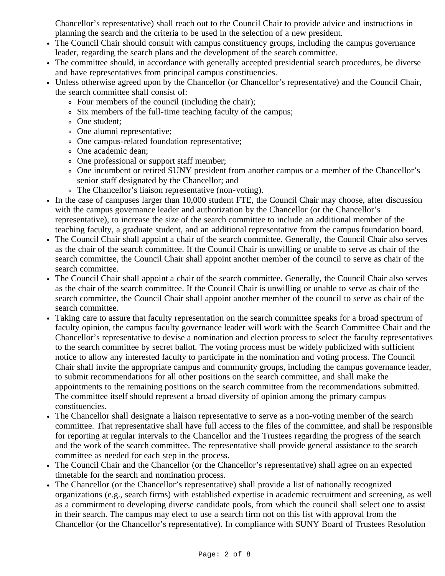Chancellor's representative) shall reach out to the Council Chair to provide advice and instructions in planning the search and the criteria to be used in the selection of a new president.

- The Council Chair should consult with campus constituency groups, including the campus governance leader, regarding the search plans and the development of the search committee.
- The committee should, in accordance with generally accepted presidential search procedures, be diverse and have representatives from principal campus constituencies.
- Unless otherwise agreed upon by the Chancellor (or Chancellor's representative) and the Council Chair, the search committee shall consist of:
	- Four members of the council (including the chair);
	- Six members of the full-time teaching faculty of the campus;
	- One student;
	- One alumni representative;
	- One campus-related foundation representative;
	- One academic dean;
	- One professional or support staff member;
	- One incumbent or retired SUNY president from another campus or a member of the Chancellor's senior staff designated by the Chancellor; and
	- The Chancellor's liaison representative (non-voting).
- In the case of campuses larger than 10,000 student FTE, the Council Chair may choose, after discussion with the campus governance leader and authorization by the Chancellor (or the Chancellor's representative), to increase the size of the search committee to include an additional member of the teaching faculty, a graduate student, and an additional representative from the campus foundation board.
- The Council Chair shall appoint a chair of the search committee. Generally, the Council Chair also serves as the chair of the search committee. If the Council Chair is unwilling or unable to serve as chair of the search committee, the Council Chair shall appoint another member of the council to serve as chair of the search committee.
- The Council Chair shall appoint a chair of the search committee. Generally, the Council Chair also serves as the chair of the search committee. If the Council Chair is unwilling or unable to serve as chair of the search committee, the Council Chair shall appoint another member of the council to serve as chair of the search committee.
- Taking care to assure that faculty representation on the search committee speaks for a broad spectrum of faculty opinion, the campus faculty governance leader will work with the Search Committee Chair and the Chancellor's representative to devise a nomination and election process to select the faculty representatives to the search committee by secret ballot. The voting process must be widely publicized with sufficient notice to allow any interested faculty to participate in the nomination and voting process. The Council Chair shall invite the appropriate campus and community groups, including the campus governance leader, to submit recommendations for all other positions on the search committee, and shall make the appointments to the remaining positions on the search committee from the recommendations submitted. The committee itself should represent a broad diversity of opinion among the primary campus constituencies.
- The Chancellor shall designate a liaison representative to serve as a non-voting member of the search committee. That representative shall have full access to the files of the committee, and shall be responsible for reporting at regular intervals to the Chancellor and the Trustees regarding the progress of the search and the work of the search committee. The representative shall provide general assistance to the search committee as needed for each step in the process.
- The Council Chair and the Chancellor (or the Chancellor's representative) shall agree on an expected timetable for the search and nomination process.
- The Chancellor (or the Chancellor's representative) shall provide a list of nationally recognized organizations (e.g., search firms) with established expertise in academic recruitment and screening, as well as a commitment to developing diverse candidate pools, from which the council shall select one to assist in their search. The campus may elect to use a search firm not on this list with approval from the Chancellor (or the Chancellor's representative). In compliance with SUNY Board of Trustees Resolution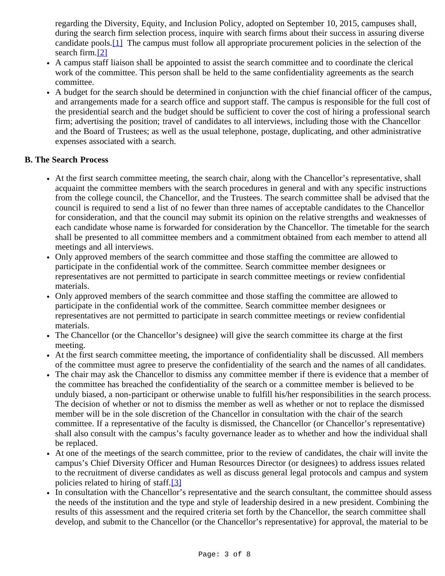regarding the Diversity, Equity, and Inclusion Policy, adopted on September 10, 2015, campuses shall, during the search firm selection process, inquire with search firms about their success in assuring diverse candidate pools.[\[1\]](#page-6-2) The campus must follow all appropriate procurement policies in the selection of the search firm.[\[2\]](#page-6-3)

- <span id="page-2-1"></span><span id="page-2-0"></span>A campus staff liaison shall be appointed to assist the search committee and to coordinate the clerical work of the committee. This person shall be held to the same confidentiality agreements as the search committee.
- A budget for the search should be determined in conjunction with the chief financial officer of the campus, and arrangements made for a search office and support staff. The campus is responsible for the full cost of the presidential search and the budget should be sufficient to cover the cost of hiring a professional search firm; advertising the position; travel of candidates to all interviews, including those with the Chancellor and the Board of Trustees; as well as the usual telephone, postage, duplicating, and other administrative expenses associated with a search.

# **B. The Search Process**

- At the first search committee meeting, the search chair, along with the Chancellor's representative, shall acquaint the committee members with the search procedures in general and with any specific instructions from the college council, the Chancellor, and the Trustees. The search committee shall be advised that the council is required to send a list of no fewer than three names of acceptable candidates to the Chancellor for consideration, and that the council may submit its opinion on the relative strengths and weaknesses of each candidate whose name is forwarded for consideration by the Chancellor. The timetable for the search shall be presented to all committee members and a commitment obtained from each member to attend all meetings and all interviews.
- Only approved members of the search committee and those staffing the committee are allowed to participate in the confidential work of the committee. Search committee member designees or representatives are not permitted to participate in search committee meetings or review confidential materials.
- Only approved members of the search committee and those staffing the committee are allowed to participate in the confidential work of the committee. Search committee member designees or representatives are not permitted to participate in search committee meetings or review confidential materials.
- The Chancellor (or the Chancellor's designee) will give the search committee its charge at the first meeting.
- At the first search committee meeting, the importance of confidentiality shall be discussed. All members of the committee must agree to preserve the confidentiality of the search and the names of all candidates.
- The chair may ask the Chancellor to dismiss any committee member if there is evidence that a member of the committee has breached the confidentiality of the search or a committee member is believed to be unduly biased, a non-participant or otherwise unable to fulfill his/her responsibilities in the search process. The decision of whether or not to dismiss the member as well as whether or not to replace the dismissed member will be in the sole discretion of the Chancellor in consultation with the chair of the search committee. If a representative of the faculty is dismissed, the Chancellor (or Chancellor's representative) shall also consult with the campus's faculty governance leader as to whether and how the individual shall be replaced.
- At one of the meetings of the search committee, prior to the review of candidates, the chair will invite the  $\bullet$ campus's Chief Diversity Officer and Human Resources Director (or designees) to address issues related to the recruitment of diverse candidates as well as discuss general legal protocols and campus and system policies related to hiring of staff.[\[3\]](#page-6-4)
- <span id="page-2-2"></span>• In consultation with the Chancellor's representative and the search consultant, the committee should assess the needs of the institution and the type and style of leadership desired in a new president. Combining the results of this assessment and the required criteria set forth by the Chancellor, the search committee shall develop, and submit to the Chancellor (or the Chancellor's representative) for approval, the material to be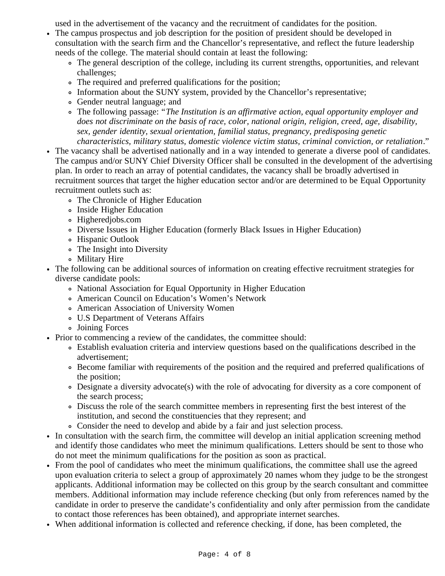used in the advertisement of the vacancy and the recruitment of candidates for the position.

- The campus prospectus and job description for the position of president should be developed in consultation with the search firm and the Chancellor's representative, and reflect the future leadership needs of the college. The material should contain at least the following:
	- The general description of the college, including its current strengths, opportunities, and relevant challenges;
	- The required and preferred qualifications for the position;
	- Information about the SUNY system, provided by the Chancellor's representative;
	- Gender neutral language; and
	- The following passage: "*The Institution is an affirmative action, equal opportunity employer and does not discriminate on the basis of race, color, national origin, religion, creed, age, disability, sex, gender identity, sexual orientation, familial status, pregnancy, predisposing genetic characteristics, military status, domestic violence victim status, criminal conviction, or retaliation*."
- The vacancy shall be advertised nationally and in a way intended to generate a diverse pool of candidates. The campus and/or SUNY Chief Diversity Officer shall be consulted in the development of the advertising plan. In order to reach an array of potential candidates, the vacancy shall be broadly advertised in recruitment sources that target the higher education sector and/or are determined to be Equal Opportunity recruitment outlets such as:
	- The Chronicle of Higher Education
	- Inside Higher Education
	- Higheredjobs.com
	- Diverse Issues in Higher Education (formerly Black Issues in Higher Education)
	- Hispanic Outlook
	- The Insight into Diversity
	- Military Hire
- The following can be additional sources of information on creating effective recruitment strategies for diverse candidate pools:
	- National Association for Equal Opportunity in Higher Education
	- American Council on Education's Women's Network
	- American Association of University Women
	- U.S Department of Veterans Affairs
	- Joining Forces
- Prior to commencing a review of the candidates, the committee should:
	- Establish evaluation criteria and interview questions based on the qualifications described in the advertisement;
	- Become familiar with requirements of the position and the required and preferred qualifications of the position;
	- Designate a diversity advocate(s) with the role of advocating for diversity as a core component of the search process;
	- Discuss the role of the search committee members in representing first the best interest of the institution, and second the constituencies that they represent; and
	- Consider the need to develop and abide by a fair and just selection process.
- In consultation with the search firm, the committee will develop an initial application screening method and identify those candidates who meet the minimum qualifications. Letters should be sent to those who do not meet the minimum qualifications for the position as soon as practical.
- From the pool of candidates who meet the minimum qualifications, the committee shall use the agreed upon evaluation criteria to select a group of approximately 20 names whom they judge to be the strongest applicants. Additional information may be collected on this group by the search consultant and committee members. Additional information may include reference checking (but only from references named by the candidate in order to preserve the candidate's confidentiality and only after permission from the candidate to contact those references has been obtained), and appropriate internet searches.
- When additional information is collected and reference checking, if done, has been completed, the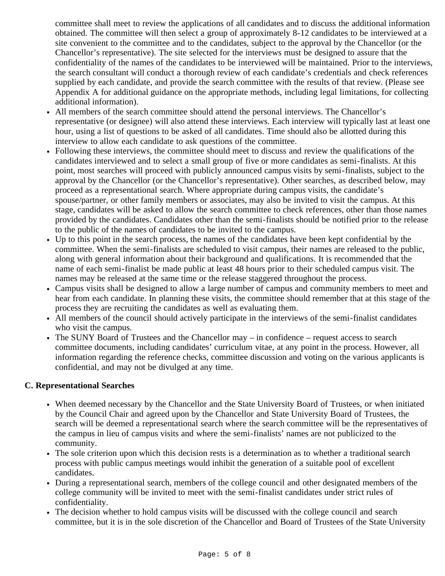committee shall meet to review the applications of all candidates and to discuss the additional information obtained. The committee will then select a group of approximately 8-12 candidates to be interviewed at a site convenient to the committee and to the candidates, subject to the approval by the Chancellor (or the Chancellor's representative). The site selected for the interviews must be designed to assure that the confidentiality of the names of the candidates to be interviewed will be maintained. Prior to the interviews, the search consultant will conduct a thorough review of each candidate's credentials and check references supplied by each candidate, and provide the search committee with the results of that review. (Please see Appendix A for additional guidance on the appropriate methods, including legal limitations, for collecting additional information).

- All members of the search committee should attend the personal interviews. The Chancellor's representative (or designee) will also attend these interviews. Each interview will typically last at least one hour, using a list of questions to be asked of all candidates. Time should also be allotted during this interview to allow each candidate to ask questions of the committee.
- Following these interviews, the committee should meet to discuss and review the qualifications of the candidates interviewed and to select a small group of five or more candidates as semi-finalists. At this point, most searches will proceed with publicly announced campus visits by semi-finalists, subject to the approval by the Chancellor (or the Chancellor's representative). Other searches, as described below, may proceed as a representational search. Where appropriate during campus visits, the candidate's spouse/partner, or other family members or associates, may also be invited to visit the campus. At this stage, candidates will be asked to allow the search committee to check references, other than those names provided by the candidates. Candidates other than the semi-finalists should be notified prior to the release to the public of the names of candidates to be invited to the campus.
- Up to this point in the search process, the names of the candidates have been kept confidential by the committee. When the semi-finalists are scheduled to visit campus, their names are released to the public, along with general information about their background and qualifications. It is recommended that the name of each semi-finalist be made public at least 48 hours prior to their scheduled campus visit. The names may be released at the same time or the release staggered throughout the process.
- Campus visits shall be designed to allow a large number of campus and community members to meet and hear from each candidate. In planning these visits, the committee should remember that at this stage of the process they are recruiting the candidates as well as evaluating them.
- All members of the council should actively participate in the interviews of the semi-finalist candidates who visit the campus.
- The SUNY Board of Trustees and the Chancellor may in confidence request access to search committee documents, including candidates' curriculum vitae, at any point in the process. However, all information regarding the reference checks, committee discussion and voting on the various applicants is confidential, and may not be divulged at any time.

# **C. Representational Searches**

- When deemed necessary by the Chancellor and the State University Board of Trustees, or when initiated by the Council Chair and agreed upon by the Chancellor and State University Board of Trustees, the search will be deemed a representational search where the search committee will be the representatives of the campus in lieu of campus visits and where the semi-finalists' names are not publicized to the community.
- The sole criterion upon which this decision rests is a determination as to whether a traditional search process with public campus meetings would inhibit the generation of a suitable pool of excellent candidates.
- During a representational search, members of the college council and other designated members of the college community will be invited to meet with the semi-finalist candidates under strict rules of confidentiality.
- The decision whether to hold campus visits will be discussed with the college council and search committee, but it is in the sole discretion of the Chancellor and Board of Trustees of the State University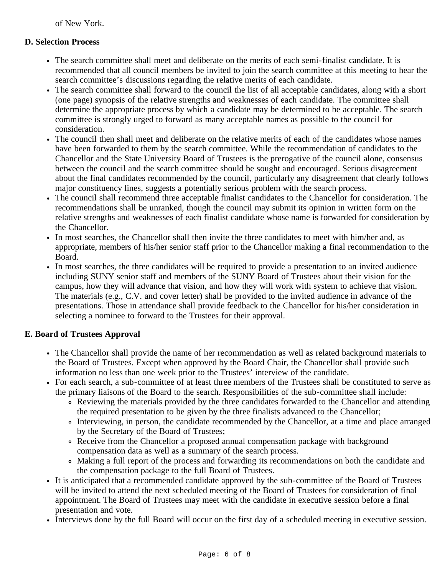of New York.

# **D. Selection Process**

- The search committee shall meet and deliberate on the merits of each semi-finalist candidate. It is recommended that all council members be invited to join the search committee at this meeting to hear the search committee's discussions regarding the relative merits of each candidate.
- The search committee shall forward to the council the list of all acceptable candidates, along with a short (one page) synopsis of the relative strengths and weaknesses of each candidate. The committee shall determine the appropriate process by which a candidate may be determined to be acceptable. The search committee is strongly urged to forward as many acceptable names as possible to the council for consideration.
- The council then shall meet and deliberate on the relative merits of each of the candidates whose names have been forwarded to them by the search committee. While the recommendation of candidates to the Chancellor and the State University Board of Trustees is the prerogative of the council alone, consensus between the council and the search committee should be sought and encouraged. Serious disagreement about the final candidates recommended by the council, particularly any disagreement that clearly follows major constituency lines, suggests a potentially serious problem with the search process.
- The council shall recommend three acceptable finalist candidates to the Chancellor for consideration. The recommendations shall be unranked, though the council may submit its opinion in written form on the relative strengths and weaknesses of each finalist candidate whose name is forwarded for consideration by the Chancellor.
- In most searches, the Chancellor shall then invite the three candidates to meet with him/her and, as appropriate, members of his/her senior staff prior to the Chancellor making a final recommendation to the Board.
- In most searches, the three candidates will be required to provide a presentation to an invited audience including SUNY senior staff and members of the SUNY Board of Trustees about their vision for the campus, how they will advance that vision, and how they will work with system to achieve that vision. The materials (e.g., C.V. and cover letter) shall be provided to the invited audience in advance of the presentations. Those in attendance shall provide feedback to the Chancellor for his/her consideration in selecting a nominee to forward to the Trustees for their approval.

# **E. Board of Trustees Approval**

- The Chancellor shall provide the name of her recommendation as well as related background materials to the Board of Trustees. Except when approved by the Board Chair, the Chancellor shall provide such information no less than one week prior to the Trustees' interview of the candidate.
- For each search, a sub-committee of at least three members of the Trustees shall be constituted to serve as the primary liaisons of the Board to the search. Responsibilities of the sub-committee shall include:
	- Reviewing the materials provided by the three candidates forwarded to the Chancellor and attending the required presentation to be given by the three finalists advanced to the Chancellor;
	- Interviewing, in person, the candidate recommended by the Chancellor, at a time and place arranged by the Secretary of the Board of Trustees;
	- Receive from the Chancellor a proposed annual compensation package with background compensation data as well as a summary of the search process.
	- Making a full report of the process and forwarding its recommendations on both the candidate and the compensation package to the full Board of Trustees.
- It is anticipated that a recommended candidate approved by the sub-committee of the Board of Trustees will be invited to attend the next scheduled meeting of the Board of Trustees for consideration of final appointment. The Board of Trustees may meet with the candidate in executive session before a final presentation and vote.
- Interviews done by the full Board will occur on the first day of a scheduled meeting in executive session.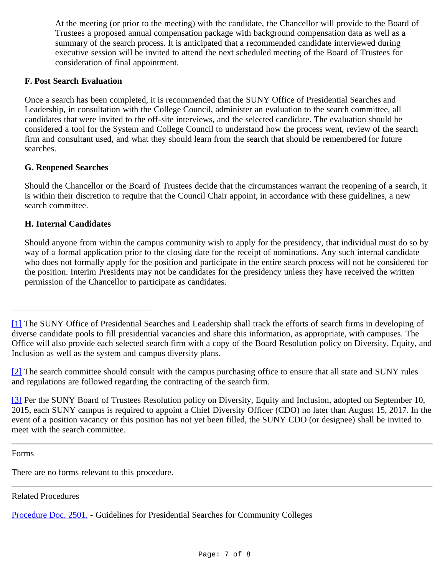At the meeting (or prior to the meeting) with the candidate, the Chancellor will provide to the Board of Trustees a proposed annual compensation package with background compensation data as well as a summary of the search process. It is anticipated that a recommended candidate interviewed during executive session will be invited to attend the next scheduled meeting of the Board of Trustees for consideration of final appointment.

# **F. Post Search Evaluation**

Once a search has been completed, it is recommended that the SUNY Office of Presidential Searches and Leadership, in consultation with the College Council, administer an evaluation to the search committee, all candidates that were invited to the off-site interviews, and the selected candidate. The evaluation should be considered a tool for the System and College Council to understand how the process went, review of the search firm and consultant used, and what they should learn from the search that should be remembered for future searches.

# **G. Reopened Searches**

Should the Chancellor or the Board of Trustees decide that the circumstances warrant the reopening of a search, it is within their discretion to require that the Council Chair appoint, in accordance with these guidelines, a new search committee.

# **H. Internal Candidates**

Should anyone from within the campus community wish to apply for the presidency, that individual must do so by way of a formal application prior to the closing date for the receipt of nominations. Any such internal candidate who does not formally apply for the position and participate in the entire search process will not be considered for the position. Interim Presidents may not be candidates for the presidency unless they have received the written permission of the Chancellor to participate as candidates.

<span id="page-6-0"></span>Forms

There are no forms relevant to this procedure.

<span id="page-6-1"></span>Related Procedures

[Procedure Doc. 2501.](http://www.suny.edu/sunypp/lookup.cfm?lookup_id=438) - Guidelines for Presidential Searches for Community Colleges

<span id="page-6-2"></span>[<sup>\[1\]</sup>](#page-2-0) The SUNY Office of Presidential Searches and Leadership shall track the efforts of search firms in developing of diverse candidate pools to fill presidential vacancies and share this information, as appropriate, with campuses. The Office will also provide each selected search firm with a copy of the Board Resolution policy on Diversity, Equity, and Inclusion as well as the system and campus diversity plans.

<span id="page-6-3"></span>[<sup>\[2\]</sup>](#page-2-1) The search committee should consult with the campus purchasing office to ensure that all state and SUNY rules and regulations are followed regarding the contracting of the search firm.

<span id="page-6-4"></span>[<sup>\[3\]</sup>](#page-2-2) Per the SUNY Board of Trustees Resolution policy on Diversity, Equity and Inclusion, adopted on September 10, 2015, each SUNY campus is required to appoint a Chief Diversity Officer (CDO) no later than August 15, 2017. In the event of a position vacancy or this position has not yet been filled, the SUNY CDO (or designee) shall be invited to meet with the search committee.